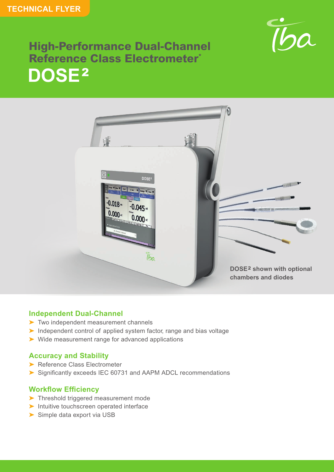

## **High-Performance Dual-Channel Reference Class Electrometer\* DOSE**<sup>2</sup>



### **Independent Dual-Channel**

- ➤ Two independent measurement channels
- ➤ Independent control of applied system factor, range and bias voltage
- ➤ Wide measurement range for advanced applications

### **Accuracy and Stability**

- ▶ Reference Class Electrometer
- ➤ Significantly exceeds IEC 60731 and AAPM ADCL recommendations

### **Workflow Efficiency**

- ➤ Threshold triggered measurement mode
- ➤ Intuitive touchscreen operated interface
- ➤ Simple data export via USB